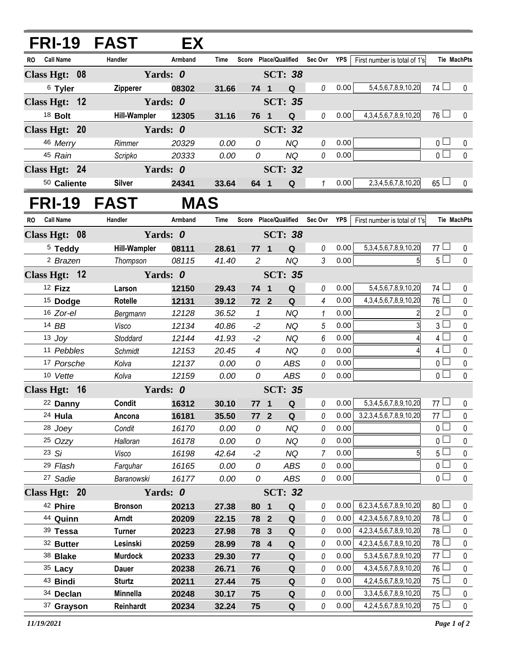| <b>FRI-19 FAST</b>                         |                     | EX                |                |                       |                         |                       |               |              |                                   |                                  |                    |
|--------------------------------------------|---------------------|-------------------|----------------|-----------------------|-------------------------|-----------------------|---------------|--------------|-----------------------------------|----------------------------------|--------------------|
| RO Call Name                               | Handler             | Armband           | Time           | Score Place/Qualified |                         |                       | Sec Ovr YPS   |              | First number is total of 1's      |                                  | <b>Tie MachPts</b> |
| Class Hgt: 08                              |                     | Yards: 0          |                |                       |                         | <b>SCT: 38</b>        |               |              |                                   |                                  |                    |
| <sup>6</sup> Tyler                         | Zipperer            | 08302             | 31.66          | 74 1                  |                         | Q                     | 0             | 0.00         | 5,4,5,6,7,8,9,10,20               | $74$ $\Box$                      | 0                  |
| Class Hgt: 12                              |                     | Yards: 0          |                |                       |                         | <b>SCT: 35</b>        |               |              |                                   |                                  |                    |
| 18 Bolt                                    | <b>Hill-Wampler</b> | 12305             | 31.16          | 76 1                  |                         | $\mathbf Q$           | 0             | 0.00         | 4, 3, 4, 5, 6, 7, 8, 9, 10, 20    | $76 \Box$                        | 0                  |
| Class Hgt: 20                              |                     | Yards: 0          |                |                       |                         | <b>SCT: 32</b>        |               |              |                                   |                                  |                    |
| 46 Merry                                   | Rimmer              | 20329             | 0.00           | 0                     |                         | <b>NQ</b>             | 0             | 0.00         |                                   | 0 <sub>0</sub>                   | 0                  |
| 45 Rain                                    | Scripko             | 20333             | 0.00           | 0                     |                         | <b>NQ</b>             | 0             | 0.00         |                                   | $\overline{0}$                   | $\mathbf 0$        |
| Class Hgt: 24                              |                     | Yards: 0          |                |                       |                         | <b>SCT: 32</b>        |               |              |                                   |                                  |                    |
| 50 Caliente                                | <b>Silver</b>       | 24341             | 33.64          | 64 1                  |                         | Q                     | $\mathcal{I}$ | 0.00         | 2, 3, 4, 5, 6, 7, 8, 10, 20       | $65\Box$                         | $\mathbf{0}$       |
| FRI-19 FAST                                |                     | <b>MAS</b>        |                |                       |                         |                       |               |              |                                   |                                  |                    |
| RO Call Name                               | Handler             | Armband           | Time           | Score Place/Qualified |                         |                       | Sec Ovr YPS   |              | First number is total of 1's      |                                  | <b>Tie MachPts</b> |
| Class Hgt: 08                              |                     | Yards: 0          |                |                       |                         | <b>SCT: 38</b>        |               |              |                                   |                                  |                    |
| <sup>5</sup> Teddy                         | <b>Hill-Wampler</b> | 08111             | 28.61          | $77 1$                |                         | Q                     | 0             | 0.00         | 5, 3, 4, 5, 6, 7, 8, 9, 10, 20    | 77 $\Box$                        | 0                  |
| <sup>2</sup> Brazen                        | Thompson            | 08115             | 41.40          | 2                     |                         | <b>NQ</b>             | 3             | 0.00         |                                   | 5 <sub>1</sub>                   | $\mathbf{0}$       |
| Class Hgt: 12                              |                     | Yards: 0          |                |                       |                         | <b>SCT: 35</b>        |               |              |                                   |                                  |                    |
| 12 Fizz                                    | Larson              | 12150             | 29.43          | 74 1                  |                         | $\mathbf Q$           | 0             | 0.00         | 5,4,5,6,7,8,9,10,20               | $74$ $\Box$                      | 0                  |
| $15$ Dodge                                 | Rotelle             | 12131             | 39.12          | 72 2                  |                         | Q                     | 4             | 0.00         | 4, 3, 4, 5, 6, 7, 8, 9, 10, 20    | 76 l                             | 0                  |
| 16 Zor-el                                  | Bergmann            | 12128             | 36.52          | $\mathbf{1}$          |                         | <b>NQ</b>             | 1             | 0.00         |                                   | $2\Box$                          | 0                  |
| 14 BB                                      | Visco               | 12134             | 40.86          | $-2$                  |                         | <b>NQ</b>             | 5             | 0.00         |                                   | $\mathbf{3}$                     | 0                  |
| $13$ Joy                                   | Stoddard            | 12144             | 41.93          | $-2$                  |                         | <b>NQ</b>             | 6             | 0.00         |                                   | $4\Box$                          | 0                  |
| 11 Pebbles                                 | Schmidt             | 12153             | 20.45          | 4                     |                         | <b>NQ</b>             | 0             | 0.00         |                                   | 4 <sup>1</sup>                   | 0                  |
| 17 Porsche                                 | Kolva               | 12137             | 0.00           | 0                     |                         | <b>ABS</b>            | 0             | 0.00         |                                   | $\overline{0}$                   | 0                  |
| 10 Vette                                   | Kolva               | 12159             | 0.00           | 0                     |                         | <b>ABS</b>            | 0             | 0.00         |                                   | $\overline{0}$                   | $\pmb{0}$          |
| Class Hgt: 16                              |                     | Yards: 0          |                | <b>SCT: 35</b>        |                         |                       |               |              |                                   |                                  |                    |
| 22 Danny                                   | Condit              | 16312 30.10       |                |                       |                         | 77 1 Q                |               |              | 0 0.00 5,3,4,5,6,7,8,9,10,20 77 0 |                                  |                    |
| 24 Hula                                    | Ancona              | 16181             | 35.50          | 77                    | $\mathbf{2}$            | Q                     | 0             | 0.00         | 3,2,3,4,5,6,7,8,9,10,20           | $77 \perp$                       | 0                  |
| 28 Joey                                    | Condit              | 16170             | 0.00           | 0                     |                         | <b>NQ</b>             | 0             | 0.00         |                                   | 0 <sub>1</sub>                   | $\pmb{0}$          |
| 25 Ozzy                                    | Halloran            | 16178             | 0.00           | 0                     |                         | <b>NQ</b>             | 0             | 0.00         |                                   | 0 l                              | 0                  |
| 23 Si                                      | Visco               | 16198             | 42.64          | $-2$                  |                         | NQ                    | 7             | 0.00         |                                   | 5 <sup>1</sup>                   | 0                  |
| <sup>29</sup> Flash<br><sup>27</sup> Sadie | Farquhar            | 16165             | 0.00           | 0<br>0                |                         | ABS                   | 0<br>0        | 0.00<br>0.00 |                                   | 0 <sup>1</sup><br>0 <sub>1</sub> | 0<br>$\mathbf 0$   |
| Class Hgt: 20                              | Baranowski          | 16177<br>Yards: 0 | 0.00           |                       |                         | ABS<br><b>SCT: 32</b> |               |              |                                   |                                  |                    |
| 42 Phire                                   | <b>Bronson</b>      | 20213             |                |                       |                         |                       | 0             | 0.00         | 6,2,3,4,5,6,7,8,9,10,20           | 80 <sup>1</sup>                  | 0                  |
| 44 Quinn                                   | <b>Arndt</b>        | 20209             | 27.38<br>22.15 | 80<br>78 2            | $\overline{\mathbf{1}}$ | Q<br>$\mathbf Q$      | 0             | 0.00         | 4,2,3,4,5,6,7,8,9,10,20           | 78 l                             | 0                  |
| 39 Tessa                                   | <b>Turner</b>       | 20223             | 27.98          | 78 3                  |                         | ${\bf Q}$             | 0             | 0.00         | 4, 2, 3, 4, 5, 6, 7, 8, 9, 10, 20 | 78 l                             | 0                  |
| 32 Butter                                  | Lesinski            | 20259             | 28.99          | 78 4                  |                         | ${\bf Q}$             | 0             | 0.00         | 4, 2, 3, 4, 5, 6, 7, 8, 9, 10, 20 | 78 L                             | 0                  |
| 38 Blake                                   | <b>Murdock</b>      | 20233             | 29.30          | 77                    |                         | Q                     | 0             | 0.00         | 5, 3, 4, 5, 6, 7, 8, 9, 10, 20    | 77l                              | 0                  |
| $35$ Lacy                                  | <b>Dauer</b>        | 20238             | 26.71          | 76                    |                         | $\pmb{\mathsf{Q}}$    | 0             | 0.00         | 4, 3, 4, 5, 6, 7, 8, 9, 10, 20    | 76 l                             | 0                  |
| 43 Bindi                                   | <b>Sturtz</b>       | 20211             | 27.44          | 75                    |                         | Q                     | 0             | 0.00         | 4,2,4,5,6,7,8,9,10,20             | 75 l                             | 0                  |
| 34 Declan                                  | Minnella            | 20248             | 30.17          | 75                    |                         | Q                     | 0             | 0.00         | 3, 3, 4, 5, 6, 7, 8, 9, 10, 20    | $75 -$                           | $\pmb{0}$          |
| 37 Grayson                                 | Reinhardt           | 20234             | 32.24          | 75                    |                         | Q                     | 0             | 0.00         | 4,2,4,5,6,7,8,9,10,20             | $75 \perp$                       | $\pmb{0}$          |